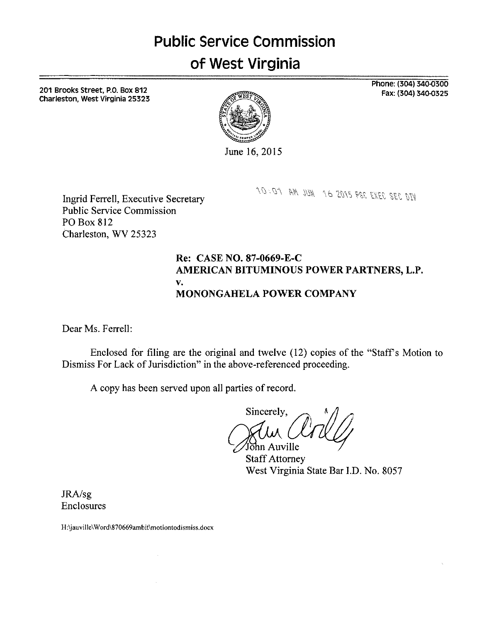# **Public Service Commission**  of **West Virginia**

201 Brooks Street, P.O. Box 812 Charleston, West Virginia 25323 Phone: (304) 340-0300 Fax: (304) 340-0325



June 16, 2015

10:01 AM JUN 16 2015 PSC EXEC SEC DIV

Ingrid Ferrell, Executive Secretary Public Service Commission PO Box 812 Charleston. WV 25323

## **Re: CASE NO. 87-0669-E-C AMERICAN BITUMINOUS POWER PARTNERS, L.P. MONONGAHELA POWER COMPANY V.**

Dear Ms. Ferrell:

Enclosed for filing are the original and twelve (12) copies of the "Staff's Motion to Dismiss For Lack of Jurisdiction" in the above-referenced proceeding.

**A** copy has been served upon all parties of record.

Sincerely, John Auville

Staff Attorney West Virginia State Bar I.D. No. 8057

JRA/sg Enclosures

H:\jauville\Word\870669ambit\motiontodismiss.docx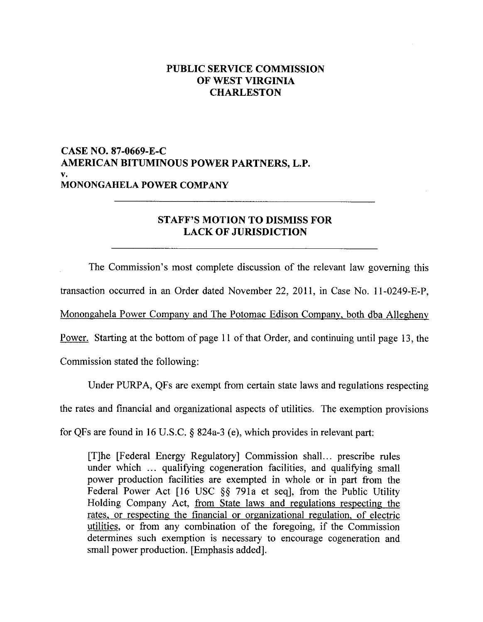## **PUBLIC SERVICE COMMISSION OF WEST VIRGINIA CHARLESTON**

## **CASE NO. 87-0669-E-C AMERICAN BITUMINOUS POWER PARTNERS, L.P. MONONGAHELA POWER COMPANY V.**

## **STAFF'S MOTION TO DISMISS FOR LACK OF JURISDICTION**

The Commission's most complete discussion of the relevant law governing this transaction occurred in an Order dated November 22, 2011, in Case No. 11-0249-E-P,

Monongahela Power Company and The Potomac Edison Company, both dba Allegheny

Power. Starting at the bottom of [page 11](#page-11-0) of that Order, and continuing until [page 13,](#page-13-0) the

Commission stated the following:

Under PURPA, QFs are exempt from certain state laws and regulations respecting

the rates and financial and organizational aspects of utilities. The exemption provisions

for QFs are found in 16 U.S.C. *5* 824a-3 (e), which provides in relevant part:

[Tlhe [Federal Energy Regulatory] Commission shall.. . prescribe rules under which ... qualifying cogeneration facilities, and qualifying small power production facilities are exempted in whole or in part from the Federal Power Act [16 USC *\$5* 791a et seq], from the Public Utility Holding Company Act, from State laws and regulations respecting the rates. or respecting the financial or organizational regulation, of electric utilities, or from any combination of the foregoing, if the Commission determines such exemption is necessary to encourage cogeneration and small power production. [Emphasis added].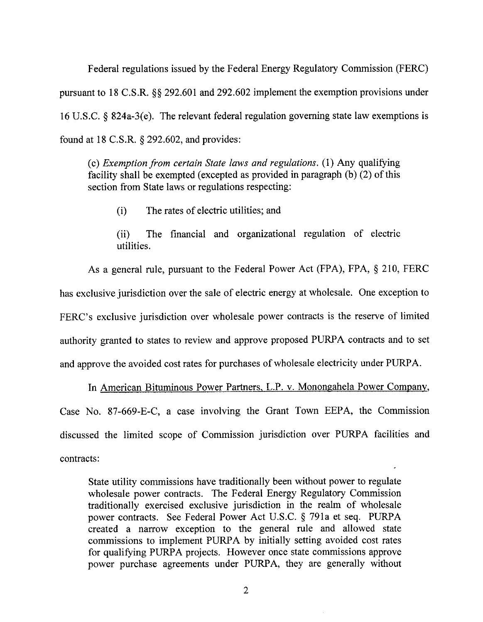Federal regulations issued by the Federal Energy Regulatory Commission (FERC) pursuant to 18 C.S.R. \$\$ 292.601 and 292.602 implement the exemption provisions under 16 U.S.C. \$ 824a-3(e). The relevant federal regulation governing state law exemptions is found at 18 C.S.R. \$292.602, and provides:

(c) *Exemption from certain State laws and regulations.* (1) Any qualifying facility shall be exempted (excepted as provided in paragraph (b) (2) of this section from State laws or regulations respecting:

(i) The rates of electric utilities; and

(ii) The financial and organizational regulation of electric utilities.

As a general rule, pursuant to the Federal Power Act (FPA), FPA, \$ 210, FERC has exclusive jurisdiction over the sale of electric energy at wholesale. One exception to FERC's exclusive jurisdiction over wholesale power contracts is the reserve of limited authority granted to states to review and approve proposed PURPA contracts and to set and approve the avoided cost rates for purchases of wholesale electricity under PURPA.

In American Bituminous Power Partners, L.P. v. Monongahela Power Company, Case No. 87-669-E-C, a case involving the Grant Town EEPA, the Commission discussed the limited scope of Commission jurisdiction over PURPA facilities and contracts:

State utility commissions have traditionally been without power to regulate wholesale power contracts. The Federal Energy Regulatory Commission traditionally exercised exclusive jurisdiction in the realm of wholesale power contracts. See Federal Power Act U.S.C. \$ 791a et seq. PURPA created a narrow exception to the general rule and allowed state commissions to implement PURPA by initially setting avoided cost rates for qualifying PURPA projects. However once state commissions approve power purchase agreements under PURPA, they are generally without

*2*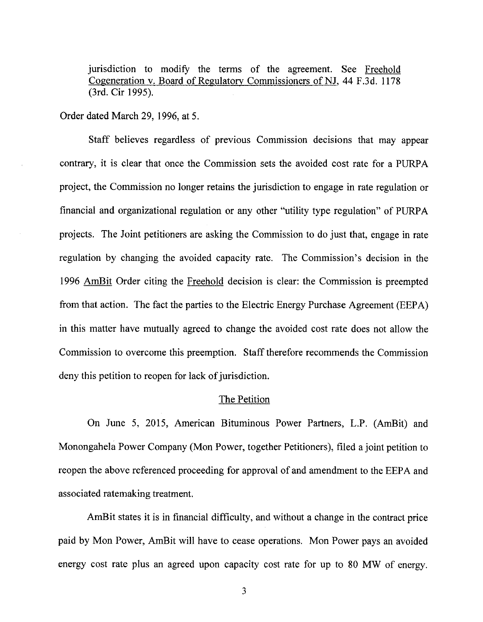<span id="page-3-0"></span>jurisdiction to modify the terms of the agreement. See Freehold Cogeneration v. Board of Regulatory Commissioners of NJ, 44 F.3d. 1178 (3rd. Cir 1995).

Order dated March 29, 1996, at *5.* 

Staff believes regardless of previous Commission decisions that may appear contrary, it is clear that once the Commission sets the avoided cost rate for a PURPA project, the Commission no longer retains the jurisdiction to engage in rate regulation or financial and organizational regulation or any other "utility type regulation" of PWA projects. The Joint petitioners are asking the Commission to do just that, engage in rate regulation by changing the avoided capacity rate. The Commission's decision in the 1996 AmBit Order citing the Freehold decision is clear: the Commission is preempted from that action. The fact the parties to the Electric Energy Purchase Agreement (EEPA) in this matter have mutually agreed to change the avoided cost rate does not allow the Commission to overcome this preemption. Staff therefore recommends the Commission deny this petition to reopen for lack of jurisdiction.

#### The Petition

On June *5,* 2015, American Bituminous Power Partners, L.P. (AmBit) and Monongahela Power Company (Mon Power, together Petitioners), filed a joint petition to reopen the above referenced proceeding for approval of and amendment to the EEPA and associated ratemaking treatment.

AmBit states it is in financial difficulty, and without a change in the contract price paid by Mon Power, AmBit will have to cease operations. Mon Power pays an avoided energy cost rate plus an agreed upon capacity cost rate for up to 80 MW of energy.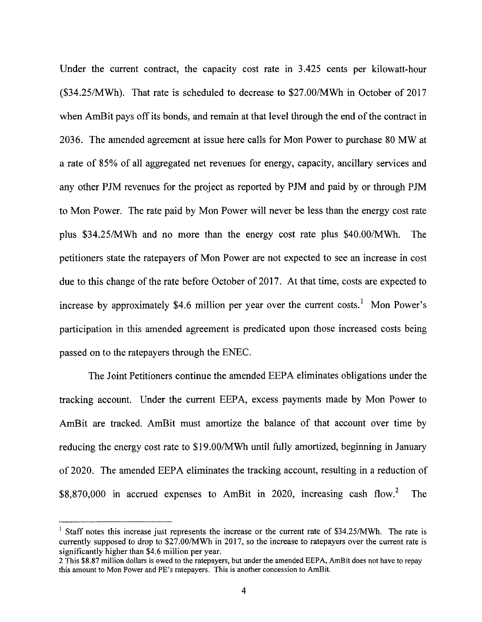Under the current contract, the capacity cost rate in 3.425 cents per kilowatt-hour (\$34.25/MWh). That rate is scheduled to decrease to \$27.00/MWh in October of 2017 when AmBit pays off its bonds, and remain at that level through the end of the contract in 2036. The amended agreement at issue here calls for Mon Power to purchase 80 MW at a rate of 85% of all aggregated net revenues for energy, capacity, ancillary services and any other PJM revenues for the project as reported by PJM and paid by or through PJM to Mon Power. The rate paid by Mon Power will never be less than the energy cost rate plus \$34.25/MWh and no more than the energy cost rate plus \$40.00/MWh. The petitioners state the ratepayers of Mon Power are not expected to see an increase in cost due to this change of the rate before October of 2017. At that time, costs are expected to increase by approximately \$4.6 million per year over the current costs.<sup>1</sup> Mon Power's participation in this amended agreement is predicated upon those increased costs being passed on to the ratepayers through the ENEC.

The Joint Petitioners continue the amended EEPA eliminates obligations under the tracking account. Under the current EEPA, excess payments made by Mon Power to AmBit are tracked. AmBit must amortize the balance of that account over time by reducing the energy cost rate to \$19.OO/MWh until fully amortized, beginning in January of 2020. The amended EEPA eliminates the tracking account, resulting in a reduction of \$8,870,000 in accrued expenses to AmBit in 2020, increasing cash flow.2 The

<sup>&</sup>lt;sup>1</sup> Staff notes this increase just represents the increase or the current rate of \$34.25/MWh. The rate is currently supposed to drop to \$27,00MWh in 2017, so the increase to ratepayers over the current rate is significantly higher than \$4.6 million per year.

<sup>2</sup> This \$8.87 million dollars is owed to the ratepayers, but under the amended EEPA, AmBit does not have to repay this amount to Mon Power and PE's ratepayers. This **is** another concession to AmBit.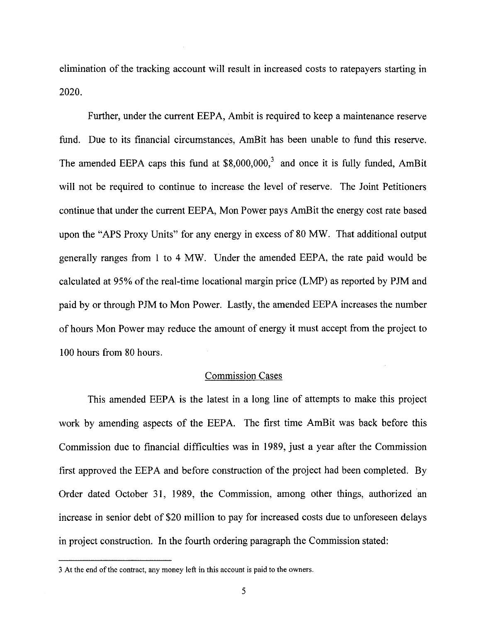elimination of the tracking account will result in increased costs to ratepayers starting in 2020.

Further, under the current EEPA, Ambit is required to keep a maintenance reserve fund. Due to its financial circumstances, AmBit has been unable to fund this reserve. The amended EEPA caps this fund at  $$8,000,000$ ,<sup>3</sup> and once it is fully funded, AmBit will not be required to continue to increase the level of reserve. The Joint Petitioners continue that under the current EEPA, Mon Power pays AmBit the energy cost rate based upon the "APS Proxy Units" for any energy in excess of 80 MW. That additional output generally ranges from 1 to 4 MW. Under the amended EEPA, the rate paid would be calculated at 95% of the real-time locational margin price **(LMP)** as reported by PJM and paid by or through PJM to Mon Power. Lastly, the amended EEPA increases the number of hours Mon Power may reduce the amount of energy it must accept from the project to 100 hours from 80 hours.

### Commission Cases

This amended EEPA is the latest in a long line of attempts to make this project work by amending aspects of the EEPA. The first time AmBit was back before this Commission due to financial difficulties was in 1989, just a year after the Commission first approved the EEPA and before construction of the project had been completed. By Order dated October **31,** 1989, the Commission, among other things, authorized an increase in senior debt of \$20 million to pay for increased costs due to unforeseen delays in project construction. In the fourth ordering paragraph the Commission stated:

<sup>3</sup> At the end of the contract, any money left in this account is **paid** to the owners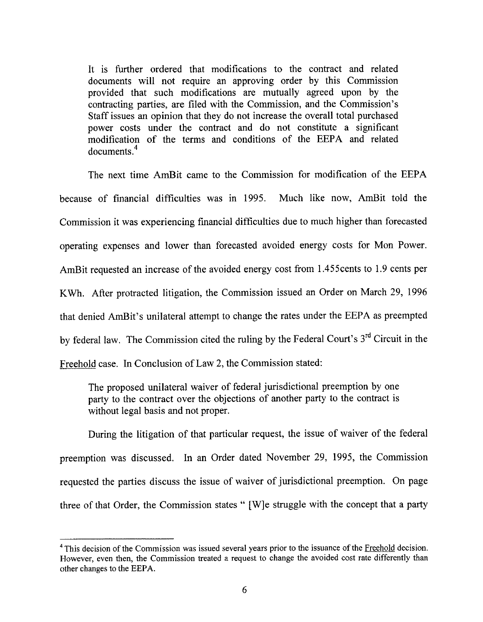It is further ordered that modifications to the contract and related documents will not require an approving order by this Commission provided that such modifications are mutually agreed upon by the contracting parties, are filed with the Commission, and the Commission's Staff issues an opinion that they do not increase the overall total purchased power costs under the contract and do not constitute a significant modification of the terms and conditions of the EEPA and related documents<sup>4</sup>

The next time AmBit came to the Commission for modification of the EEPA because of financial difficulties was in 1995. Much like now, AmBit told the Commission it was experiencing financial difficulties due to much higher than forecasted operating expenses and lower than forecasted avoided energy costs for Mon Power. AmBit requested an increase of the avoided energy cost from 1.455cents to 1.9 cents per KWh. After protracted litigation, the Commission issued an Order on March 29, 1996 that denied AmBit's unilateral attempt to change the rates under the EEPA as preempted by federal law. The Commission cited the ruling by the Federal Court's 3<sup>rd</sup> Circuit in the Freehold case. In Conclusion of Law 2, the Commission stated:

The proposed unilateral waiver of federal jurisdictional preemption by one party to the contract over the objections of another party to the contract is without legal basis and not proper.

During the litigation of that particular request, the issue of waiver of the federal preemption was discussed. In an Order dated November 29, 1995, the Commission requested the parties discuss the issue of waiver of jurisdictional preemption. On page three of that Order, the Commission states " [W]e struggle with the concept that a party

<sup>&</sup>lt;sup>4</sup> This decision of the Commission was issued several years prior to the issuance of the Freehold decision. However, even then, the Commission treated a request to change the avoided cost rate differently than other changes to the **EEPA.**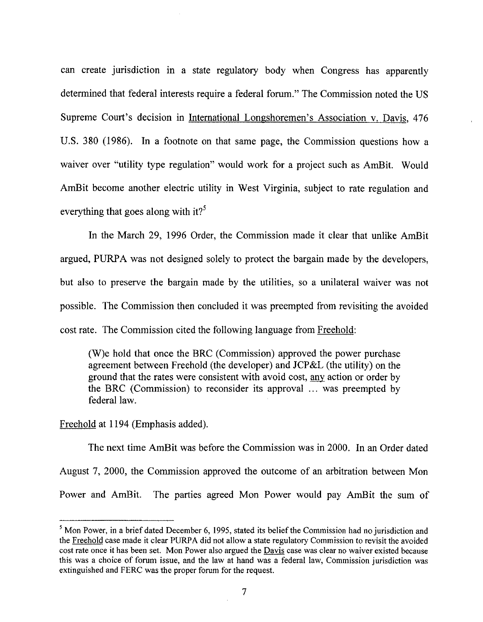can create jurisdiction in a state regulatory body when Congress has apparently determined that federal interests require a federal forum." The Commission noted the US Supreme Court's decision in International Longshoremen's Association v. Davis, 476 **U.S.** 380 (1986). In a footnote on that same page, the Commission questions how a waiver over "utility type regulation" would work for a project such as AmBit. Would AmBit become another electric utility in West Virginia, subject to rate regulation and everything that goes along with it?<sup>5</sup>

In the March 29, 1996 Order, the Commission made it clear that unlike AmBit argued, PWA was not designed solely to protect the bargain made by the developers, but also to preserve the bargain made by the utilities, so a unilateral waiver was not possible. The Commission then concluded it was preempted from revisiting the avoided cost rate. The Commission cited the following language from Freehold:

(W)e hold that once the BRC (Commission) approved the power purchase agreement between Freehold (the developer) and JCP&L (the utility) on the ground that the rates were consistent with avoid cost, any action or order by the BRC (Commission) to reconsider its approval ... was preempted by federal law.

## Freehold at 1194 (Emphasis added).

The next time AmBit was before the Commission was in 2000. In an Order dated August 7, 2000, the Commission approved the outcome of **an** arbitration between Mon Power and AmBit. The parties agreed Mon Power would pay AmBit the sum of

<sup>&</sup>lt;sup>5</sup> Mon Power, in a brief dated December 6, 1995, stated its belief the Commission had no jurisdiction and the Freehold case made it clear **PURPA** did not allow a state regulatory Commission to revisit the avoided cost rate once it has been set. Mon Power also argued the Davis case was clear no waiver existed because this was a choice of forum issue, and the law at hand was a federal law, Commission jurisdiction was extinguished and FERC was the proper forum for the request.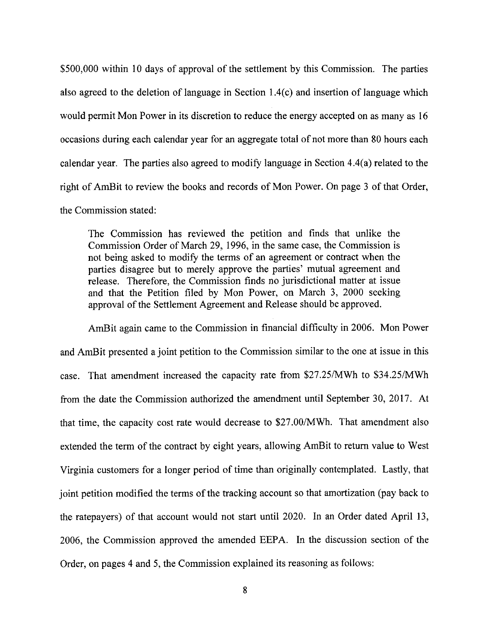<span id="page-8-0"></span>\$500,000 within 10 days of approval of the settlement by this Commission. The parties also agreed to the deletion of language in Section 1.4(c) and insertion of language which would permit Mon Power in its discretion to reduce the energy accepted on as many as 16 occasions during each calendar year for an aggregate total of not more than 80 hours each calendar year. The parties also agreed to modify language in Section 4.4(a) related to the right of AmBit to review the books and records of Mon Power. On [page 3](#page-3-0) of that Order, the Commission stated:

The Commission has reviewed the petition and finds that unlike the Commission Order of March 29, 1996, in the same case, the Commission is not being asked to modify the terms of an agreement or contract when the parties disagree but to merely approve the parties' mutual agreement and release. Therefore, the Commission finds no jurisdictional matter at issue and that the Petition filed by Mon Power, on March 3, 2000 seeking approval of the Settlement Agreement and Release should be approved.

AmBit again came to the Commission in financial difficulty in 2006. Mon Power and AmBit presented a joint petition to the Commission similar to the one at issue in this case. That amendment increased the capacity rate from \$27.25NWh to \$34.25/MWh from the date the Commission authorized the amendment until September 30, 2017. At that time, the capacity cost rate would decrease to \$27.00/MWh. That amendment also extended the term of the contract by eight years, allowing AmBit to return value to West Virginia customers for a longer period of time than originally contemplated. Lastly, that joint petition modified the terms of the tracking account so that amortization (pay back to the ratepayers) of that account would not start until 2020. In an Order dated April 13, 2006, the Commission approved the amended EEPA. In the discussion section of the Order, on pages 4 and 5, the Commission explained its reasoning as follows: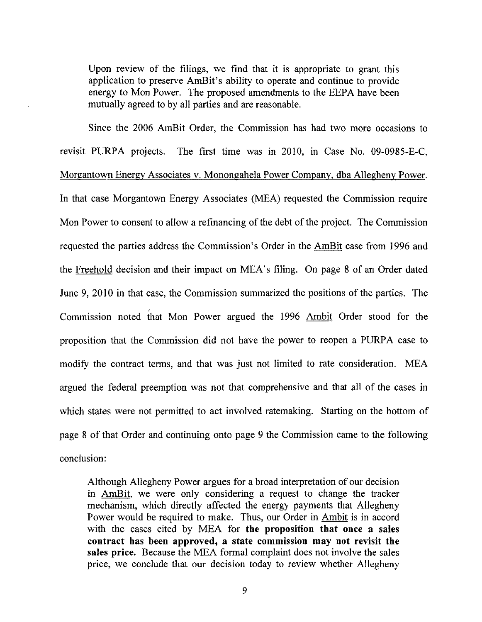Upon review of the filings, we find that it is appropriate to grant this application to preserve AmBit's ability to operate and continue to provide energy to Mon Power. The proposed amendments to the EEPA have been mutually agreed to by all parties and are reasonable.

Since the 2006 AmBit Order, the Commission has had two more occasions to revisit PURPA projects. The first time was in 2010, in Case No. 09-0985-E-C, Morgantown Energy Associates v. Monongahela Power Company. dba Allegheny Power. In that case Morgantown Energy Associates (MEA) requested the Commission require Mon Power to consent to allow a refinancing of the debt of the project. The Commission requested the parties address the Commission's Order in the *AmBit* case from 1996 and the Freehold decision and their impact on MEA'S filing. On [page](#page-8-0) **8** of an Order dated June 9, 2010 in that case, the Commission summarized the positions of the parties. The Commission noted {hat Mon Power argued the 1996 *Ambit* Order stood for the proposition that the Commission did not have the power to reopen a PURPA case to modify the contract terms, and that was just not limited to rate consideration. MEA argued the federal preemption was not that comprehensive and that all of the cases in which states were not permitted to act involved ratemaking. Starting on the bottom of [page 8](#page-8-0) of that Order and continuing onto page 9 the Commission came to the following conclusion:

Although Allegheny Power argues for a broad interpretation of our decision in AmBit, we were only considering a request to change the tracker mechanism, which directly affected the energy payments that Allegheny Power would be required to make. Thus, our Order in *Ambit* is in accord with the cases cited by MEA for **the proposition that once a sales contract has been approved, a state commission may not revisit the safes price.** Because the MEA formal complaint does not involve the sales price, we conclude that our decision today to review whether Allegheny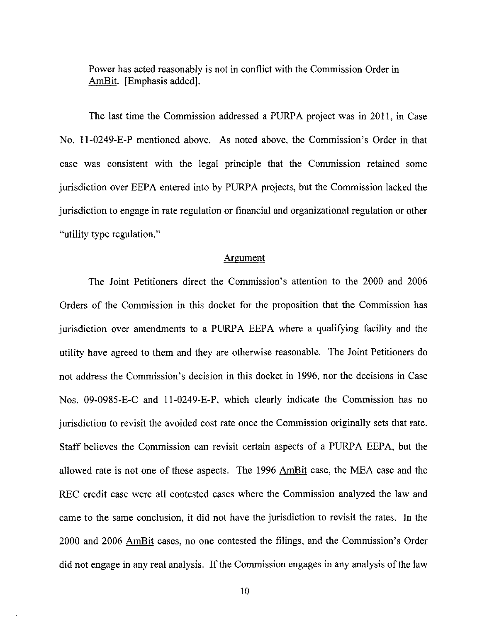Power has acted reasonably is not in conflict with the Commission Order in Power has acted reasonably<br><u>AmBit</u>. [Emphasis added].

The last time the Commission addressed a PURPA project was in 2011, in Case No. 11-0249-E-P mentioned above. As noted above, the Commission's Order in that case was consistent with the legal principle that the Commission retained some jurisdiction over EEPA entered into by PURPA projects, but the Commission lacked the jurisdiction to engage in rate regulation or financial and organizational regulation or other "utility type regulation."

#### Argument

The Joint Petitioners direct the Commission's attention to the 2000 and 2006 Orders of the Commission in this docket for the proposition that the Commission has jurisdiction over amendments to a PURPA EEPA where a qualifying facility and the utility have agreed to them and they are otherwise reasonable. The Joint Petitioners do not address the Commission's decision in this docket in 1996, nor the decisions in Case Nos. 09-0985-E-C and 11-0249-E-P, which clearly indicate the Commission has no jurisdiction to revisit the avoided cost rate once the Commission originally sets that rate. Staff believes the Commission can revisit certain aspects of a PURPA EEPA, but the allowed rate is not one of those aspects. The 1996 AmBit case, the MEA case and the REC credit case were all contested cases where the Commission analyzed the law and came to the same conclusion, it did not have the jurisdiction to revisit the rates. In the 2000 and 2006 *AmBit* cases, no one contested the filings, and the Commission's Order did not engage in any real analysis. If the Commission engages in any analysis of the law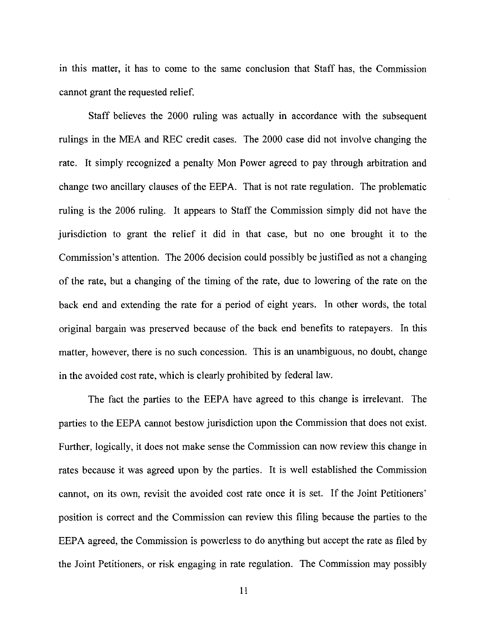<span id="page-11-0"></span>in this matter, it has to come to the same conclusion that Staff has, the Commission cannot grant the requested relief.

Staff believes the 2000 ruling was actually in accordance with the subsequent rulings in the MEA and REC credit cases. The 2000 case did not involve changing the rate. It simply recognized a penalty Mon Power agreed to pay through arbitration and change two ancillary clauses of the EEPA. That is not rate regulation. The problematic ruling is the 2006 ruling. It appears to Staff the Commission simply did not have the jurisdiction to grant the relief it did in that case, but no one brought it to the Commission's attention. The 2006 decision could possibly be justified as not a changing of the rate, but a changing of the timing of the rate, due to lowering of the rate on the back end and extending the rate for a period of eight years. In other words, the total original bargain was preserved because of the back end benefits to ratepayers. In this matter, however, there is no such concession. This is an unambiguous, no doubt, change in the avoided cost rate, which is clearly prohibited by federal law.

The fact the parties to the EEPA have agreed to this change is irrelevant. The parties to the EEPA cannot bestow jurisdiction upon the Commission that does not exist. Further, logically, it does not make sense the Commission can now review this change in rates because it was agreed upon by the parties. It is well established the Commission cannot, on its own, revisit the avoided cost rate once it is set. If the Joint Petitioners' position is correct and the Commission can review this filing because the parties to the EEPA agreed, the Commission is powerless to do anything but accept the rate as filed by the Joint Petitioners, or risk engaging in rate regulation. The Commission may possibly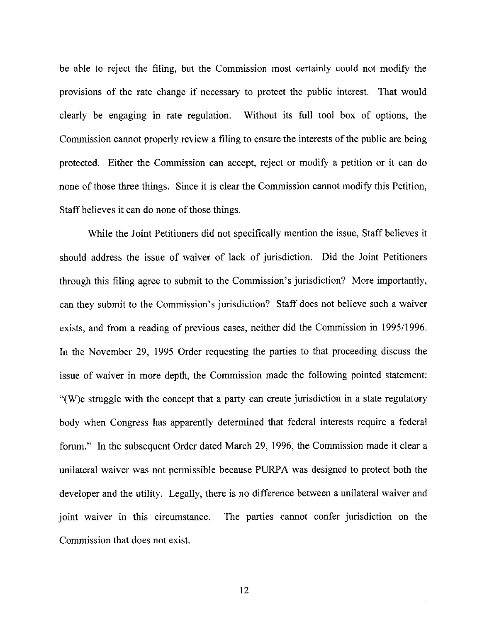be able to reject the filing, but the Commission most certainly could not modify the provisions of the rate change if necessary to protect the public interest. That would clearly be engaging in rate regulation. Without its full tool box of options, the Commission cannot properly review a filing to ensure the interests of the public are being protected. Either the Commission can accept, reject or modify a petition or it can do none of those three things. Since it is clear the Commission cannot modify this Petition, Staff believes it can do none of those things.

While the Joint Petitioners did not specifically mention the issue, Staff believes it should address the issue of waiver of lack of jurisdiction. Did the Joint Petitioners through this filing agree to submit to the Commission's jurisdiction? More importantly, can they submit to the Commission's jurisdiction? Staff does not believe such a waiver exists, and from a reading of previous cases, neither did the Commission in 1995/1996. In the November 29, 1995 Order requesting the parties to that proceeding discuss the issue of waiver in more depth, the Commission made the following pointed statement: "(W)e struggle with the concept that a party can create jurisdiction in a state regulatory body when Congress has apparently determined that federal interests require a federal forum." In the subsequent Order dated March 29, 1996, the Commission made it clear a unilateral waiver was not permissible because PURPA was designed to protect both the developer and the utility. Legally, there is no difference between a unilateral waiver and joint waiver in this circumstance. The parties cannot confer jurisdiction on the Commission that does not exist.

12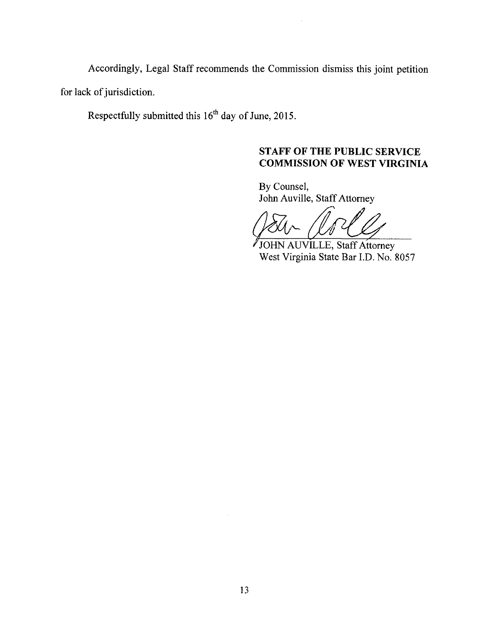<span id="page-13-0"></span>Accordingly, Legal Staff recommends the Commission dismiss this joint petition for lack of jurisdiction.

Respectfully submitted this 16" day of June, 2015.

# **STAFF OF THE PUBLIC SERVICE COMMISSION OF WEST VIRGINIA**

By Counsel, John Auville, Staff Attorney

JOHN AUVILLE, Staff Attorney West Virginia State Bar I.D. No: *8057*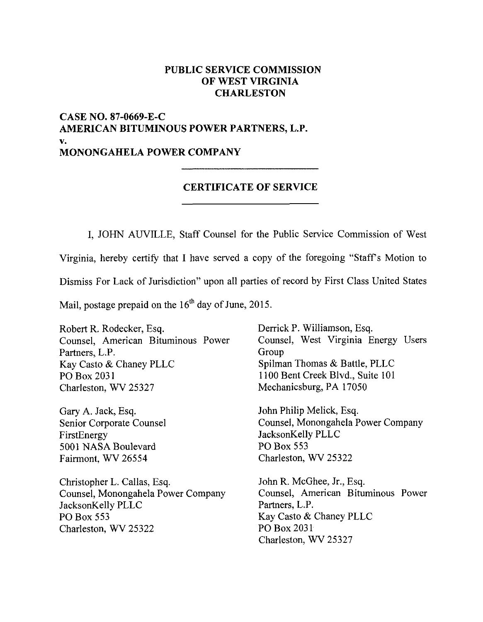## **PUBLIC SERVICE COMMISSION OF WEST VIRGINIA CHARLESTON**

## **CASE NO. 87-0669-E-C AMERICAN BITUMINOUS POWER PARTNERS, L.P. MONONGAHELA POWER COMPANY V.**

## **CERTIFICATE OF SERVICE**

I, JOHN AUVILLE, Staff Counsel for the Public Service Commission of West Virginia, hereby certify that I have served a copy of the foregoing "Staffs Motion to Dismiss For Lack of Jurisdiction" upon all parties of record by First Class United States Mail, postage prepaid on the  $16<sup>th</sup>$  day of June, 2015.

Robert R. Rodecker, **Esq.**  Counsel, American Bituminous Power Partners, L.P. Group Kay Casto & Chaney PLLC PO Box 203 **<sup>1</sup>** Charleston, WV 25327

Gary A. Jack, Esq. Senior Corporate Counsel FirstEnergy 5001 NASA Boulevard Fairmont, WV 26554

Christopher L. Callas, Esq. John R. McGhee, Jr., Esq. JacksonKelly PLLC Partners, L.P. PO Box 553 Kay Casto & Chaney PLLC Charleston, WV 25322 PO Box 203 1

Derrick P. Williamson, Esq. Counsel, West Virginia Energy Users Spilman Thomas & Battle, PLLC 1100 Bent Creek Blvd., Suite 101 Mechanicsburg, PA 17050

John Philip Melick, Esq. Counsel, Monongahela Power Company JacksonKelly PLLC PO Box 553 Charleston, WV 25322

Counsel, Monongahela Power Company Counsel, American Bituminous Power Charleston, WV 25327